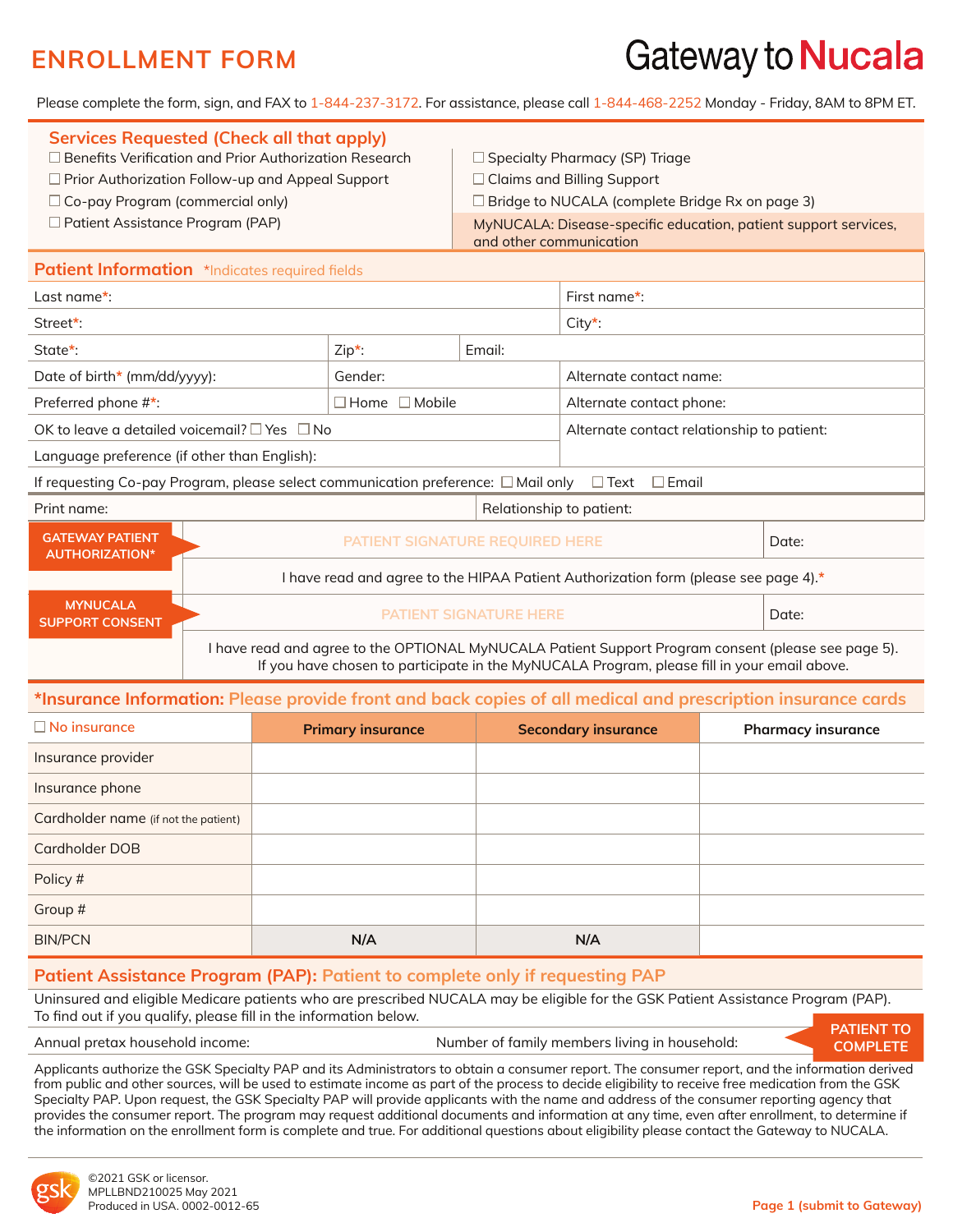# Gateway to **Nucala**

Please complete the form, sign, and FAX to 1-844-237-3172. For assistance, please call 1-844-468-2252 Monday - Friday, 8AM to 8PM ET.

| <b>Services Requested (Check all that apply)</b><br>$\Box$ Benefits Verification and Prior Authorization Research<br>$\Box$ Prior Authorization Follow-up and Appeal Support<br>$\Box$ Co-pay Program (commercial only)<br>$\Box$ Patient Assistance Program (PAP) |                                                                                     | and other communication                  | $\Box$ Specialty Pharmacy (SP) Triage<br>$\Box$ Claims and Billing Support<br>$\Box$ Bridge to NUCALA (complete Bridge Rx on page 3)<br>MyNUCALA: Disease-specific education, patient support services, |       |  |
|--------------------------------------------------------------------------------------------------------------------------------------------------------------------------------------------------------------------------------------------------------------------|-------------------------------------------------------------------------------------|------------------------------------------|---------------------------------------------------------------------------------------------------------------------------------------------------------------------------------------------------------|-------|--|
| Patient Information *Indicates required fields                                                                                                                                                                                                                     |                                                                                     |                                          |                                                                                                                                                                                                         |       |  |
| Last name*:                                                                                                                                                                                                                                                        |                                                                                     |                                          | First name $*$ :                                                                                                                                                                                        |       |  |
| Street*:                                                                                                                                                                                                                                                           |                                                                                     |                                          | $City^*$                                                                                                                                                                                                |       |  |
| State*:<br>$Zip*$ :                                                                                                                                                                                                                                                |                                                                                     | Email:                                   |                                                                                                                                                                                                         |       |  |
| Date of birth* (mm/dd/yyyy):<br>Gender:                                                                                                                                                                                                                            |                                                                                     |                                          | Alternate contact name:                                                                                                                                                                                 |       |  |
| Preferred phone #*:                                                                                                                                                                                                                                                | $\Box$ Home $\Box$ Mobile                                                           |                                          | Alternate contact phone:                                                                                                                                                                                |       |  |
| OK to leave a detailed voicemail? $\square$ Yes $\square$ No                                                                                                                                                                                                       |                                                                                     |                                          | Alternate contact relationship to patient:                                                                                                                                                              |       |  |
| Language preference (if other than English):                                                                                                                                                                                                                       |                                                                                     |                                          |                                                                                                                                                                                                         |       |  |
| If requesting Co-pay Program, please select communication preference: $\Box$ Mail only $\quad \Box$ Text                                                                                                                                                           |                                                                                     |                                          | $\square$ Email                                                                                                                                                                                         |       |  |
| Print name:                                                                                                                                                                                                                                                        |                                                                                     | Relationship to patient:                 |                                                                                                                                                                                                         |       |  |
| <b>GATEWAY PATIENT</b><br><b>AUTHORIZATION*</b>                                                                                                                                                                                                                    |                                                                                     | PATIENT SIGNATURE REQUIRED HERE<br>Date: |                                                                                                                                                                                                         |       |  |
|                                                                                                                                                                                                                                                                    | I have read and agree to the HIPAA Patient Authorization form (please see page 4).* |                                          |                                                                                                                                                                                                         |       |  |
| <b>MYNUCALA</b><br><b>SUPPORT CONSENT</b>                                                                                                                                                                                                                          | <b>PATIENT SIGNATURE HERE</b>                                                       |                                          |                                                                                                                                                                                                         | Date: |  |

I have read and agree to the OPTIONAL MyNUCALA Patient Support Program consent (please see page 5). If you have chosen to participate in the MyNUCALA Program, please fill in your email above.

#### **\*Insurance Information: Please provide front and back copies of all medical and prescription insurance cards**

| $\Box$ No insurance                  | <b>Primary insurance</b> | <b>Secondary insurance</b> | <b>Pharmacy insurance</b> |
|--------------------------------------|--------------------------|----------------------------|---------------------------|
| Insurance provider                   |                          |                            |                           |
| Insurance phone                      |                          |                            |                           |
| Cardholder name (if not the patient) |                          |                            |                           |
| Cardholder DOB                       |                          |                            |                           |
| Policy #                             |                          |                            |                           |
| Group #                              |                          |                            |                           |
| <b>BIN/PCN</b>                       | N/A                      | N/A                        |                           |

#### **Patient Assistance Program (PAP): Patient to complete only if requesting PAP**

Uninsured and eligible Medicare patients who are prescribed NUCALA may be eligible for the GSK Patient Assistance Program (PAP). To find out if you qualify, please fill in the information below.

Annual pretax household income: Number of family members living in household:



Applicants authorize the GSK Specialty PAP and its Administrators to obtain a consumer report. The consumer report, and the information derived from public and other sources, will be used to estimate income as part of the process to decide eligibility to receive free medication from the GSK Specialty PAP. Upon request, the GSK Specialty PAP will provide applicants with the name and address of the consumer reporting agency that provides the consumer report. The program may request additional documents and information at any time, even after enrollment, to determine if the information on the enrollment form is complete and true. For additional questions about eligibility please contact the Gateway to NUCALA.

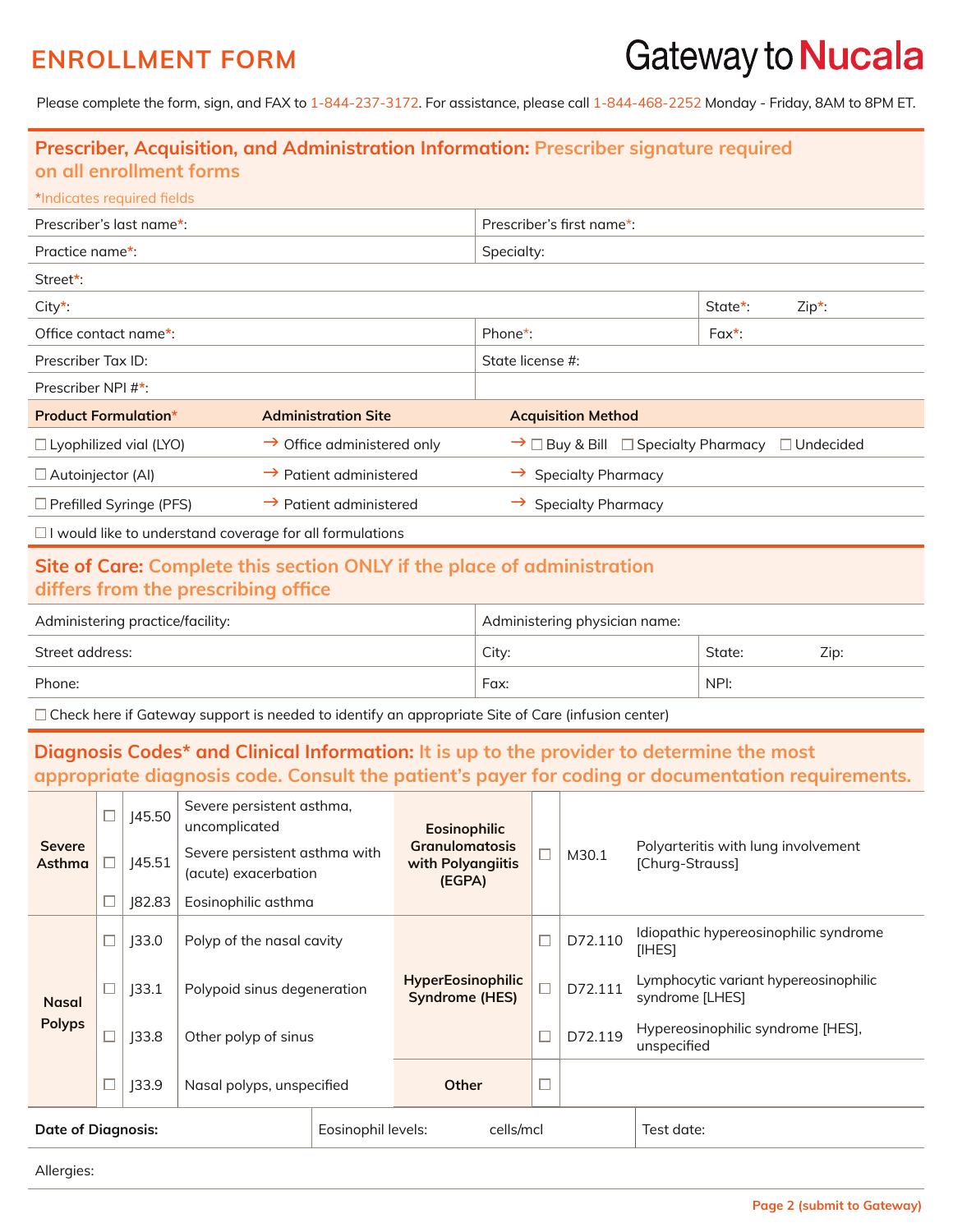# Gateway to Nucala

Please complete the form, sign, and FAX to 1-844-237-3172. For assistance, please call 1-844-468-2252 Monday - Friday, 8AM to 8PM ET.

| on all enrollment forms                                                                                        |                                        | Prescriber, Acquisition, and Administration Information: Prescriber signature required |                     |  |
|----------------------------------------------------------------------------------------------------------------|----------------------------------------|----------------------------------------------------------------------------------------|---------------------|--|
| *Indicates required fields                                                                                     |                                        |                                                                                        |                     |  |
| Prescriber's last name*:                                                                                       |                                        | Prescriber's first name*:                                                              |                     |  |
| Practice name*:                                                                                                |                                        | Specialty:                                                                             |                     |  |
| Street*:                                                                                                       |                                        |                                                                                        |                     |  |
| $City^*$                                                                                                       |                                        |                                                                                        | State*:<br>$Zip*$ : |  |
| Office contact name*:                                                                                          |                                        | Phone*:                                                                                | $Fax^*$ :           |  |
| Prescriber Tax ID:                                                                                             |                                        | State license #:                                                                       |                     |  |
| Prescriber NPI #*:                                                                                             |                                        |                                                                                        |                     |  |
| <b>Product Formulation*</b>                                                                                    | <b>Administration Site</b>             | <b>Acquisition Method</b>                                                              |                     |  |
| $\Box$ Lyophilized vial (LYO)                                                                                  | $\rightarrow$ Office administered only | $\rightarrow$ $\Box$ Buy & Bill $\Box$ Specialty Pharmacy                              | $\Box$ Undecided    |  |
| □ Autoinjector (Al)                                                                                            | $\rightarrow$ Patient administered     | $\rightarrow$ Specialty Pharmacy                                                       |                     |  |
| $\Box$ Prefilled Syringe (PFS)                                                                                 | $\rightarrow$ Patient administered     | $\rightarrow$ Specialty Pharmacy                                                       |                     |  |
| $\Box$ I would like to understand coverage for all formulations                                                |                                        |                                                                                        |                     |  |
| Site of Care: Complete this section ONLY if the place of administration<br>differs from the prescribing office |                                        |                                                                                        |                     |  |
| Administering practice/facility:                                                                               |                                        | Administering physician name:                                                          |                     |  |
| Street address:                                                                                                |                                        | City:                                                                                  | State:<br>Zip:      |  |
| Phone:                                                                                                         |                                        | Fax:                                                                                   | NPI:                |  |
| $\Box$ Check here if Gateway support is needed to identify an appropriate Site of Care (infusion center)       |                                        |                                                                                        |                     |  |

### **Diagnosis Codes\* and Clinical Information: It is up to the provider to determine the most appropriate diagnosis code. Consult the patient's payer for coding or documentation requirements.**

|                         |  | 145.50             | Severe persistent asthma,<br>uncomplicated            |  | <b>Eosinophilic</b>                                  |            |         |                                                          |
|-------------------------|--|--------------------|-------------------------------------------------------|--|------------------------------------------------------|------------|---------|----------------------------------------------------------|
| <b>Severe</b><br>Asthma |  | 45.51              | Severe persistent asthma with<br>(acute) exacerbation |  | <b>Granulomatosis</b><br>with Polyangiitis<br>(EGPA) |            | M30.1   | Polyarteritis with lung involvement<br>[Churg-Strauss]   |
|                         |  | 82.83              | Eosinophilic asthma                                   |  |                                                      |            |         |                                                          |
|                         |  | 33.0               | Polyp of the nasal cavity                             |  |                                                      |            | D72.110 | Idiopathic hypereosinophilic syndrome<br>[IHES]          |
| <b>Nasal</b>            |  | 33.1               | Polypoid sinus degeneration                           |  | <b>HyperEosinophilic</b><br><b>Syndrome (HES)</b>    |            | D72.111 | Lymphocytic variant hypereosinophilic<br>syndrome [LHES] |
| <b>Polyps</b>           |  | 33.8               | Other polyp of sinus                                  |  |                                                      |            | D72.119 | Hypereosinophilic syndrome [HES],<br>unspecified         |
|                         |  | J33.9              | Nasal polyps, unspecified                             |  | Other                                                |            |         |                                                          |
| Date of Diagnosis:      |  | Eosinophil levels: | cells/mcl                                             |  |                                                      | Test date: |         |                                                          |

Allergies: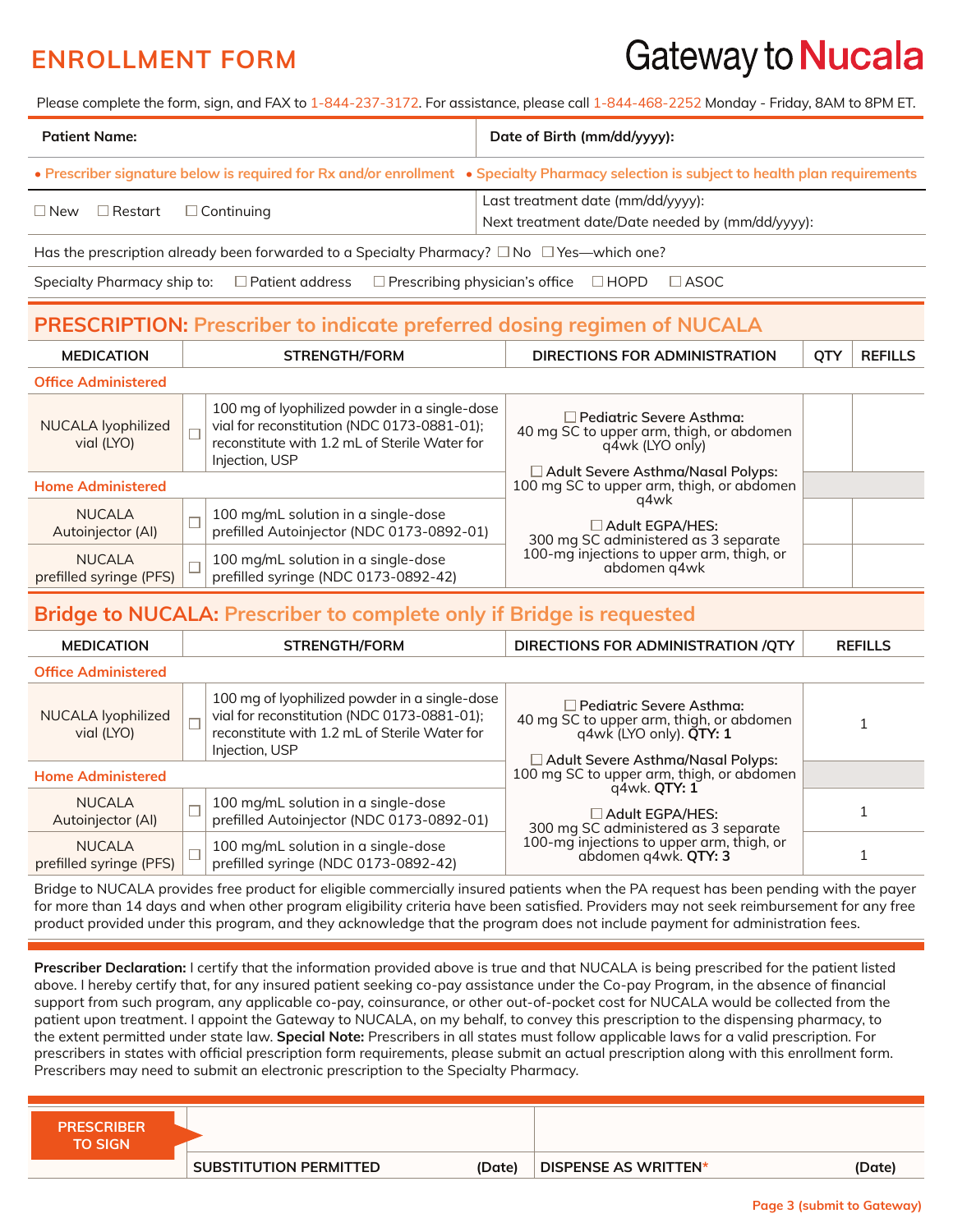# Gateway to Nucala

Please complete the form, sign, and FAX to 1-844-237-3172. For assistance, please call 1-844-468-2252 Monday - Friday, 8AM to 8PM ET.

| <b>Patient Name:</b>                                                                                                                    | Date of Birth (mm/dd/yyyy):                                                           |  |  |
|-----------------------------------------------------------------------------------------------------------------------------------------|---------------------------------------------------------------------------------------|--|--|
| • Prescriber signature below is required for Rx and/or enrollment • Specialty Pharmacy selection is subject to health plan requirements |                                                                                       |  |  |
| $\Box$ New $\Box$ Restart $\Box$ Continuing                                                                                             | Last treatment date (mm/dd/yyyy):<br>Next treatment date/Date needed by (mm/dd/yyyy): |  |  |
| Has the prescription already been forwarded to a Specialty Pharmacy? $\square$ No $\square$ Yes—which one?                              |                                                                                       |  |  |

Specialty Pharmacy ship to:  $\square$  Patient address  $\square$  Prescribing physician's office  $\square$  HOPD  $\square$  ASOC

### **PRESCRIPTION: Prescriber to indicate preferred dosing regimen of NUCALA**

| <b>MEDICATION</b>                        |  | <b>STRENGTH/FORM</b>                                                                                                                                            | DIRECTIONS FOR ADMINISTRATION                                                                  | QT) | <b>REFILLS</b> |
|------------------------------------------|--|-----------------------------------------------------------------------------------------------------------------------------------------------------------------|------------------------------------------------------------------------------------------------|-----|----------------|
| <b>Office Administered</b>               |  |                                                                                                                                                                 |                                                                                                |     |                |
| NUCALA Iyophilized<br>vial (LYO)         |  | 100 mg of lyophilized powder in a single-dose<br>vial for reconstitution (NDC 0173-0881-01);<br>reconstitute with 1.2 mL of Sterile Water for<br>Injection, USP | $\Box$ Pediatric Severe Asthma:<br>40 mg SC to upper arm, thigh, or abdomen<br>g4wk (LYO only) |     |                |
| <b>Home Administered</b>                 |  |                                                                                                                                                                 | $\Box$ Adult Severe Asthma/Nasal Polyps:<br>100 mg SC to upper arm, thigh, or abdomen          |     |                |
| NUCALA<br>Autoinjector (Al)              |  | 100 mg/mL solution in a single-dose<br>prefilled Autoinjector (NDC 0173-0892-01)                                                                                | q4wk<br>$\Box$ Adult EGPA/HES:<br>300 mg SC administered as 3 separate                         |     |                |
| <b>NUCALA</b><br>prefilled syringe (PFS) |  | 100 mg/mL solution in a single-dose<br>prefilled syringe (NDC 0173-0892-42)                                                                                     | 100-mg injections to upper arm, thigh, or<br>abdomen q4wk                                      |     |                |

### **Bridge to NUCALA: Prescriber to complete only if Bridge is requested**

| <b>MEDICATION</b>                        | <b>STRENGTH/FORM</b>                                                                                                                                            | DIRECTIONS FOR ADMINISTRATION / OTY                                                                           | <b>REFILLS</b>                      |  |
|------------------------------------------|-----------------------------------------------------------------------------------------------------------------------------------------------------------------|---------------------------------------------------------------------------------------------------------------|-------------------------------------|--|
| <b>Office Administered</b>               |                                                                                                                                                                 |                                                                                                               |                                     |  |
| NUCALA lyophilized<br>vial (LYO)         | 100 mg of lyophilized powder in a single-dose<br>vial for reconstitution (NDC 0173-0881-01);<br>reconstitute with 1.2 mL of Sterile Water for<br>Injection, USP | $\Box$ Pediatric Severe Asthma:<br>40 mg SC to upper arm, thigh, or abdomen<br>q4wk (LYO only). <b>QTY: 1</b> | □ Adult Severe Asthma/Nasal Polyps: |  |
| <b>Home Administered</b>                 |                                                                                                                                                                 | 100 mg SC to upper arm, thigh, or abdomen                                                                     |                                     |  |
| NUCALA<br>Autoinjector (AI)              | 100 mg/mL solution in a single-dose<br>prefilled Autoinjector (NDC 0173-0892-01)                                                                                | q4wk. QTY: 1<br>$\square$ Adult EGPA/HES:<br>300 mg SC administered as 3 separate                             |                                     |  |
| <b>NUCALA</b><br>prefilled syringe (PFS) | 100 mg/mL solution in a single-dose<br>prefilled syringe (NDC 0173-0892-42)                                                                                     | 100-mg injections to upper arm, thigh, or<br>abdomen q4wk. QTY: 3                                             |                                     |  |

Bridge to NUCALA provides free product for eligible commercially insured patients when the PA request has been pending with the payer for more than 14 days and when other program eligibility criteria have been satisfied. Providers may not seek reimbursement for any free product provided under this program, and they acknowledge that the program does not include payment for administration fees.

**Prescriber Declaration:** I certify that the information provided above is true and that NUCALA is being prescribed for the patient listed above. I hereby certify that, for any insured patient seeking co-pay assistance under the Co-pay Program, in the absence of financial support from such program, any applicable co-pay, coinsurance, or other out-of-pocket cost for NUCALA would be collected from the patient upon treatment. I appoint the Gateway to NUCALA, on my behalf, to convey this prescription to the dispensing pharmacy, to the extent permitted under state law. **Special Note:** Prescribers in all states must follow applicable laws for a valid prescription. For prescribers in states with official prescription form requirements, please submit an actual prescription along with this enrollment form. Prescribers may need to submit an electronic prescription to the Specialty Pharmacy.

| <b>PRESCRIBER</b><br><b>TO SIGN</b> |                        |        |                             |        |
|-------------------------------------|------------------------|--------|-----------------------------|--------|
|                                     | SUBSTITUTION PERMITTED | (Date) | <b>DISPENSE AS WRITTEN*</b> | (Date) |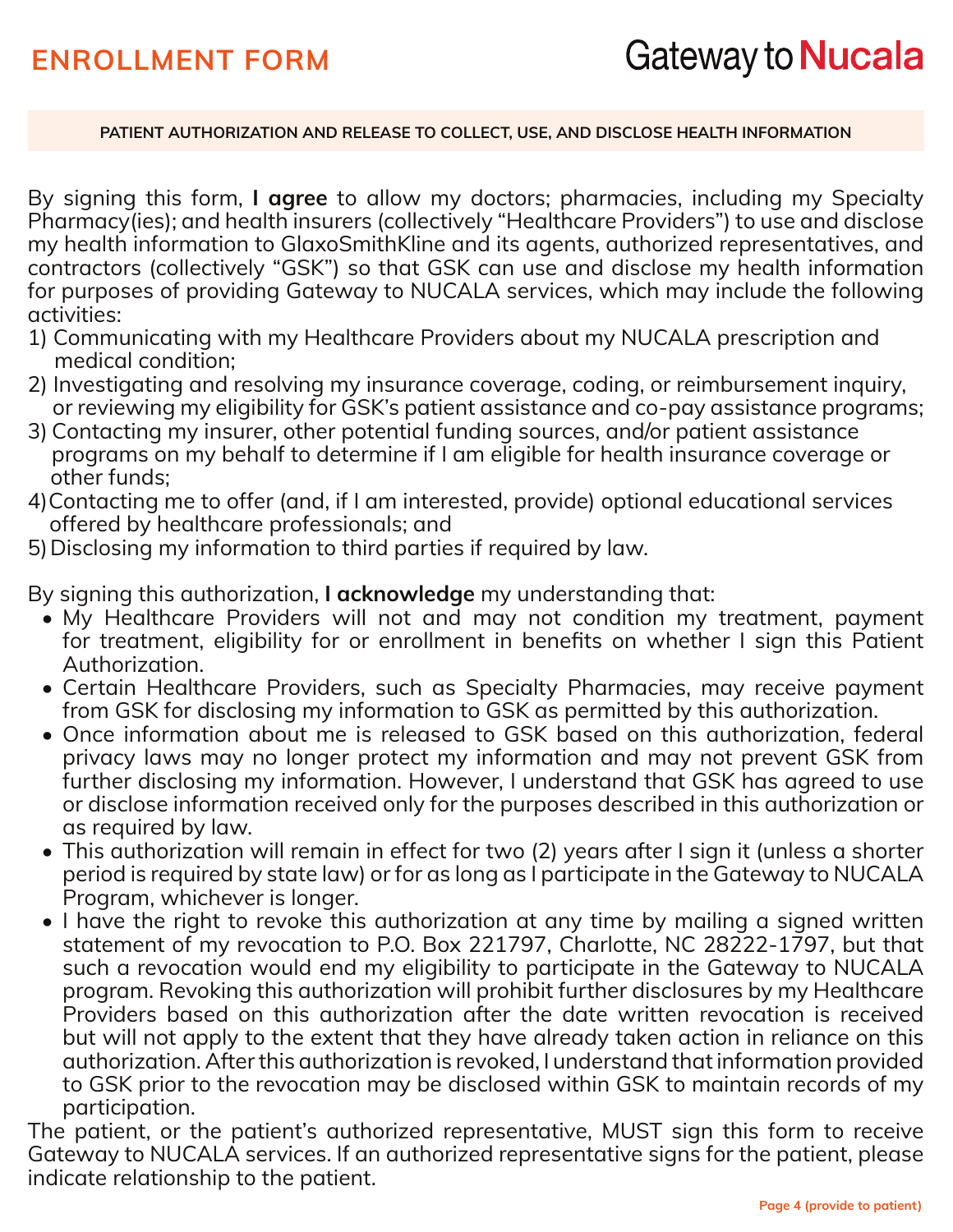#### **PATIENT AUTHORIZATION AND RELEASE TO COLLECT, USE, AND DISCLOSE HEALTH INFORMATION**

By signing this form, **I agree** to allow my doctors; pharmacies, including my Specialty Pharmacy(ies); and health insurers (collectively "Healthcare Providers") to use and disclose my health information to GlaxoSmithKline and its agents, authorized representatives, and contractors (collectively "GSK") so that GSK can use and disclose my health information for purposes of providing Gateway to NUCALA services, which may include the following activities:

- 1) Communicating with my Healthcare Providers about my NUCALA prescription and medical condition;
- 2) Investigating and resolving my insurance coverage, coding, or reimbursement inquiry, or reviewing my eligibility for GSK's patient assistance and co-pay assistance programs;
- 3) Contacting my insurer, other potential funding sources, and/or patient assistance programs on my behalf to determine if I am eligible for health insurance coverage or other funds;
- 4) Contacting me to offer (and, if I am interested, provide) optional educational services offered by healthcare professionals; and
- 5)Disclosing my information to third parties if required by law.

By signing this authorization, **I acknowledge** my understanding that:

- My Healthcare Providers will not and may not condition my treatment, payment for treatment, eligibility for or enrollment in benefits on whether I sign this Patient Authorization.
- Certain Healthcare Providers, such as Specialty Pharmacies, may receive payment from GSK for disclosing my information to GSK as permitted by this authorization.
- Once information about me is released to GSK based on this authorization, federal privacy laws may no longer protect my information and may not prevent GSK from further disclosing my information. However, I understand that GSK has agreed to use or disclose information received only for the purposes described in this authorization or as required by law.
- This authorization will remain in effect for two (2) years after I sign it (unless a shorter period is required by state law) or for as long as I participate in the Gateway to NUCALA Program, whichever is longer.
- I have the right to revoke this authorization at any time by mailing a signed written statement of my revocation to P.O. Box 221797, Charlotte, NC 28222-1797, but that such a revocation would end my eligibility to participate in the Gateway to NUCALA program. Revoking this authorization will prohibit further disclosures by my Healthcare Providers based on this authorization after the date written revocation is received but will not apply to the extent that they have already taken action in reliance on this authorization. After this authorization is revoked, I understand that information provided to GSK prior to the revocation may be disclosed within GSK to maintain records of my participation.

The patient, or the patient's authorized representative, MUST sign this form to receive Gateway to NUCALA services. If an authorized representative signs for the patient, please indicate relationship to the patient.